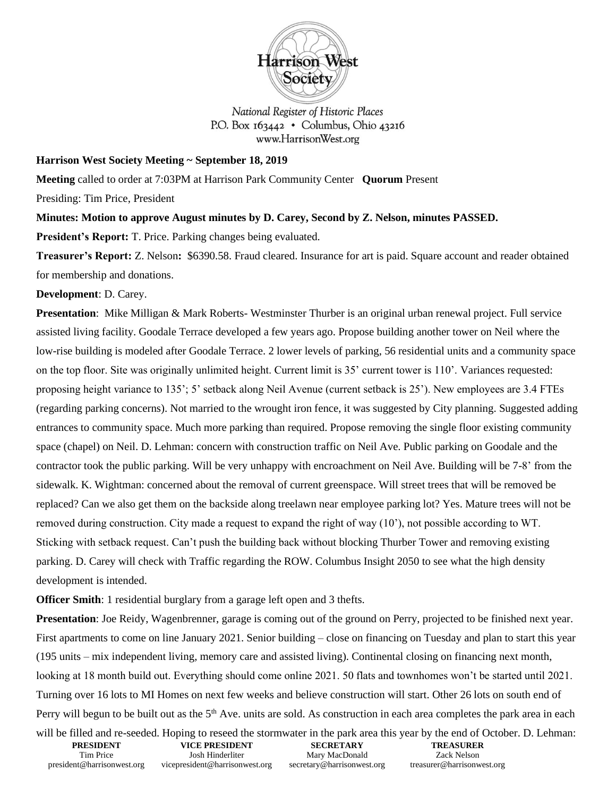

National Register of Historic Places P.O. Box  $163442 \cdot$  Columbus, Ohio 43216 www.HarrisonWest.org

## **Harrison West Society Meeting ~ September 18, 2019**

**Meeting** called to order at 7:03PM at Harrison Park Community Center **Quorum** Present

Presiding: Tim Price, President

**Minutes: Motion to approve August minutes by D. Carey, Second by Z. Nelson, minutes PASSED.** 

**President's Report:** T. Price. Parking changes being evaluated.

**Treasurer's Report:** Z. Nelson**:** \$6390.58. Fraud cleared. Insurance for art is paid. Square account and reader obtained for membership and donations.

**Development**: D. Carey.

**Presentation**: Mike Milligan & Mark Roberts- Westminster Thurber is an original urban renewal project. Full service assisted living facility. Goodale Terrace developed a few years ago. Propose building another tower on Neil where the low-rise building is modeled after Goodale Terrace. 2 lower levels of parking, 56 residential units and a community space on the top floor. Site was originally unlimited height. Current limit is 35' current tower is 110'. Variances requested: proposing height variance to 135'; 5' setback along Neil Avenue (current setback is 25'). New employees are 3.4 FTEs (regarding parking concerns). Not married to the wrought iron fence, it was suggested by City planning. Suggested adding entrances to community space. Much more parking than required. Propose removing the single floor existing community space (chapel) on Neil. D. Lehman: concern with construction traffic on Neil Ave. Public parking on Goodale and the contractor took the public parking. Will be very unhappy with encroachment on Neil Ave. Building will be 7-8' from the sidewalk. K. Wightman: concerned about the removal of current greenspace. Will street trees that will be removed be replaced? Can we also get them on the backside along treelawn near employee parking lot? Yes. Mature trees will not be removed during construction. City made a request to expand the right of way (10'), not possible according to WT. Sticking with setback request. Can't push the building back without blocking Thurber Tower and removing existing parking. D. Carey will check with Traffic regarding the ROW. Columbus Insight 2050 to see what the high density development is intended.

**Officer Smith**: 1 residential burglary from a garage left open and 3 thefts.

**Presentation**: Joe Reidy, Wagenbrenner, garage is coming out of the ground on Perry, projected to be finished next year. First apartments to come on line January 2021. Senior building – close on financing on Tuesday and plan to start this year (195 units – mix independent living, memory care and assisted living). Continental closing on financing next month, looking at 18 month build out. Everything should come online 2021. 50 flats and townhomes won't be started until 2021. Turning over 16 lots to MI Homes on next few weeks and believe construction will start. Other 26 lots on south end of Perry will begun to be built out as the  $5<sup>th</sup>$  Ave. units are sold. As construction in each area completes the park area in each

| will be filled and re-seeded. Hoping to reseed the stormwater in the park area this year by the end of October. D. Lehman: |                                |                            |                            |  |
|----------------------------------------------------------------------------------------------------------------------------|--------------------------------|----------------------------|----------------------------|--|
| <b>PRESIDENT</b>                                                                                                           | <b>VICE PRESIDENT</b>          | <b>SECRETARY</b>           | <b>TREASURER</b>           |  |
| Tim Price                                                                                                                  | Josh Hinderliter               | Mary MacDonald             | Zack Nelson                |  |
| president@harrisonwest.org                                                                                                 | vicepresident@harrisonwest.org | secretary@harrisonwest.org | treasurer@harrisonwest.org |  |